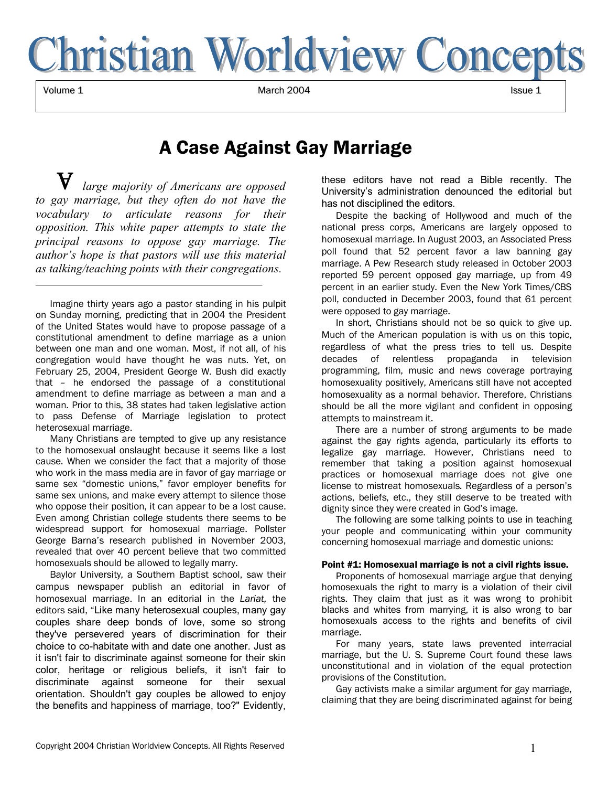

 $\blacksquare$  1 March 2004 Issue 1 March 2004 Issue 1 March 2004 Issue 1  $\blacksquare$ 

# A Case Against Gay Marriage

*large majority of Americans are opposed to gay marriage, but they often do not have the vocabulary to articulate reasons for their opposition. This white paper attempts to state the principal reasons to oppose gay marriage. The authorís hope is that pastors will use this material as talking/teaching points with their congregations.*

Imagine thirty years ago a pastor standing in his pulpit on Sunday morning, predicting that in 2004 the President of the United States would have to propose passage of a constitutional amendment to define marriage as a union between one man and one woman. Most, if not all, of his congregation would have thought he was nuts. Yet, on February 25, 2004, President George W. Bush did exactly that - he endorsed the passage of a constitutional amendment to define marriage as between a man and a woman. Prior to this, 38 states had taken legislative action to pass Defense of Marriage legislation to protect heterosexual marriage.

Many Christians are tempted to give up any resistance to the homosexual onslaught because it seems like a lost cause. When we consider the fact that a majority of those who work in the mass media are in favor of gay marriage or same sex "domestic unions," favor employer benefits for same sex unions, and make every attempt to silence those who oppose their position, it can appear to be a lost cause. Even among Christian college students there seems to be widespread support for homosexual marriage. Pollster George Barnaís research published in November 2003, revealed that over 40 percent believe that two committed homosexuals should be allowed to legally marry.

Baylor University, a Southern Baptist school, saw their campus newspaper publish an editorial in favor of homosexual marriage. In an editorial in the *Lariat,* the editors said, "Like many heterosexual couples, many gay couples share deep bonds of love, some so strong they've persevered years of discrimination for their choice to co-habitate with and date one another. Just as it isn't fair to discriminate against someone for their skin color, heritage or religious beliefs, it isn't fair to discriminate against someone for their sexual orientation. Shouldn't gay couples be allowed to enjoy the benefits and happiness of marriage, too?" Evidently, these editors have not read a Bible recently. The Universityís administration denounced the editorial but has not disciplined the editors.

Despite the backing of Hollywood and much of the national press corps, Americans are largely opposed to homosexual marriage. In August 2003, an Associated Press poll found that 52 percent favor a law banning gay marriage. A Pew Research study released in October 2003 reported 59 percent opposed gay marriage, up from 49 percent in an earlier study. Even the New York Times/CBS poll, conducted in December 2003, found that 61 percent were opposed to gay marriage.

In short, Christians should not be so quick to give up. Much of the American population is with us on this topic, regardless of what the press tries to tell us. Despite decades of relentless propaganda in television programming, film, music and news coverage portraying homosexuality positively, Americans still have not accepted homosexuality as a normal behavior. Therefore, Christians should be all the more vigilant and confident in opposing attempts to mainstream it.

There are a number of strong arguments to be made against the gay rights agenda, particularly its efforts to legalize gay marriage. However, Christians need to remember that taking a position against homosexual practices or homosexual marriage does not give one license to mistreat homosexuals. Regardless of a person's actions, beliefs, etc., they still deserve to be treated with dignity since they were created in God's image.

The following are some talking points to use in teaching your people and communicating within your community concerning homosexual marriage and domestic unions:

#### Point #1: Homosexual marriage is not a civil rights issue.

Proponents of homosexual marriage argue that denying homosexuals the right to marry is a violation of their civil rights. They claim that just as it was wrong to prohibit blacks and whites from marrying, it is also wrong to bar homosexuals access to the rights and benefits of civil marriage.

For many years, state laws prevented interracial marriage, but the U. S. Supreme Court found these laws unconstitutional and in violation of the equal protection provisions of the Constitution.

Gay activists make a similar argument for gay marriage, claiming that they are being discriminated against for being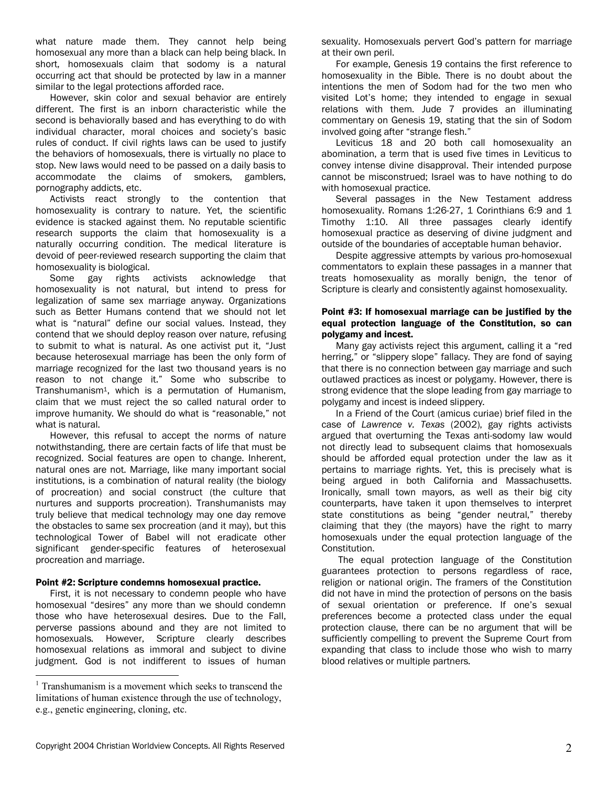what nature made them. They cannot help being homosexual any more than a black can help being black. In short, homosexuals claim that sodomy is a natural occurring act that should be protected by law in a manner similar to the legal protections afforded race.

However, skin color and sexual behavior are entirely different. The first is an inborn characteristic while the second is behaviorally based and has everything to do with individual character, moral choices and society's basic rules of conduct. If civil rights laws can be used to justify the behaviors of homosexuals, there is virtually no place to stop. New laws would need to be passed on a daily basis to accommodate the claims of smokers, gamblers, pornography addicts, etc.

Activists react strongly to the contention that homosexuality is contrary to nature. Yet, the scientific evidence is stacked against them. No reputable scientific research supports the claim that homosexuality is a naturally occurring condition. The medical literature is devoid of peer-reviewed research supporting the claim that homosexuality is biological.

Some gay rights activists acknowledge that homosexuality is not natural, but intend to press for legalization of same sex marriage anyway. Organizations such as Better Humans contend that we should not let what is "natural" define our social values. Instead, they contend that we should deploy reason over nature, refusing to submit to what is natural. As one activist put it, "Just because heterosexual marriage has been the only form of marriage recognized for the last two thousand years is no reason to not change it." Some who subscribe to Transhumanism1, which is a permutation of Humanism, claim that we must reject the so called natural order to improve humanity. We should do what is "reasonable," not what is natural.

However, this refusal to accept the norms of nature notwithstanding, there are certain facts of life that must be recognized. Social features are open to change. Inherent, natural ones are not. Marriage, like many important social institutions, is a combination of natural reality (the biology of procreation) and social construct (the culture that nurtures and supports procreation). Transhumanists may truly believe that medical technology may one day remove the obstacles to same sex procreation (and it may), but this technological Tower of Babel will not eradicate other significant gender-specific features of heterosexual procreation and marriage.

#### Point #2: Scripture condemns homosexual practice.

First, it is not necessary to condemn people who have homosexual "desires" any more than we should condemn those who have heterosexual desires. Due to the Fall, perverse passions abound and they are not limited to homosexuals. However, Scripture clearly describes homosexual relations as immoral and subject to divine judgment. God is not indifferent to issues of human

 $\overline{a}$ 

sexuality. Homosexuals pervert God's pattern for marriage at their own peril.

For example, Genesis 19 contains the first reference to homosexuality in the Bible. There is no doubt about the intentions the men of Sodom had for the two men who visited Lot's home; they intended to engage in sexual relations with them. Jude 7 provides an illuminating commentary on Genesis 19, stating that the sin of Sodom involved going after "strange flesh."

Leviticus 18 and 20 both call homosexuality an abomination, a term that is used five times in Leviticus to convey intense divine disapproval. Their intended purpose cannot be misconstrued; Israel was to have nothing to do with homosexual practice.

Several passages in the New Testament address homosexuality. Romans 1:26-27, 1 Corinthians 6:9 and 1 Timothy 1:10. All three passages clearly identify homosexual practice as deserving of divine judgment and outside of the boundaries of acceptable human behavior.

Despite aggressive attempts by various pro-homosexual commentators to explain these passages in a manner that treats homosexuality as morally benign, the tenor of Scripture is clearly and consistently against homosexuality.

## Point #3: If homosexual marriage can be justified by the equal protection language of the Constitution, so can polygamy and incest.

Many gay activists reject this argument, calling it a "red herring," or "slippery slope" fallacy. They are fond of saying that there is no connection between gay marriage and such outlawed practices as incest or polygamy. However, there is strong evidence that the slope leading from gay marriage to polygamy and incest is indeed slippery.

In a Friend of the Court (amicus curiae) brief filed in the case of *Lawrence v. Texas* (2002), gay rights activists argued that overturning the Texas anti-sodomy law would not directly lead to subsequent claims that homosexuals should be afforded equal protection under the law as it pertains to marriage rights. Yet, this is precisely what is being argued in both California and Massachusetts. Ironically, small town mayors, as well as their big city counterparts, have taken it upon themselves to interpret state constitutions as being "gender neutral," thereby claiming that they (the mayors) have the right to marry homosexuals under the equal protection language of the Constitution.

 The equal protection language of the Constitution guarantees protection to persons regardless of race, religion or national origin. The framers of the Constitution did not have in mind the protection of persons on the basis of sexual orientation or preference. If one's sexual preferences become a protected class under the equal protection clause, there can be no argument that will be sufficiently compelling to prevent the Supreme Court from expanding that class to include those who wish to marry blood relatives or multiple partners.

<sup>&</sup>lt;sup>1</sup> Transhumanism is a movement which seeks to transcend the limitations of human existence through the use of technology, e.g., genetic engineering, cloning, etc.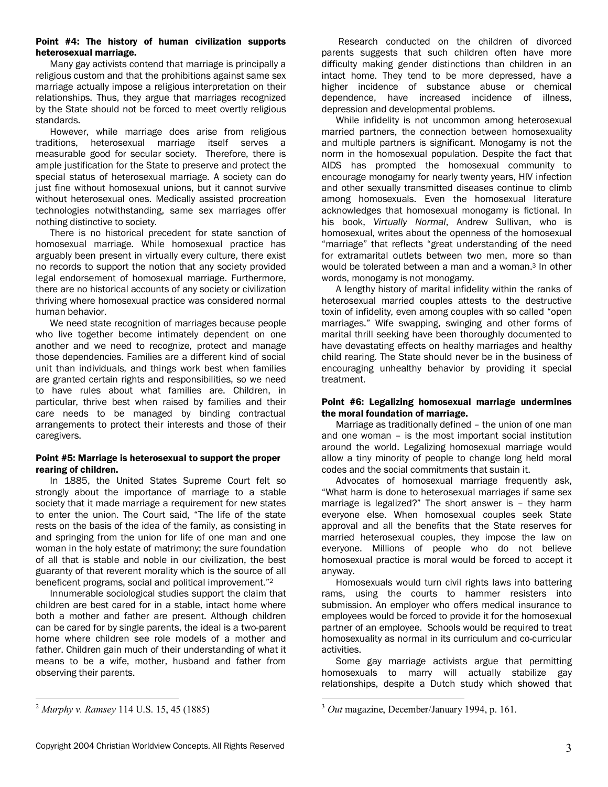## Point #4: The history of human civilization supports heterosexual marriage.

Many gay activists contend that marriage is principally a religious custom and that the prohibitions against same sex marriage actually impose a religious interpretation on their relationships. Thus, they argue that marriages recognized by the State should not be forced to meet overtly religious standards.

However, while marriage does arise from religious traditions, heterosexual marriage itself serves a measurable good for secular society. Therefore, there is ample justification for the State to preserve and protect the special status of heterosexual marriage. A society can do just fine without homosexual unions, but it cannot survive without heterosexual ones. Medically assisted procreation technologies notwithstanding, same sex marriages offer nothing distinctive to society.

There is no historical precedent for state sanction of homosexual marriage. While homosexual practice has arguably been present in virtually every culture, there exist no records to support the notion that any society provided legal endorsement of homosexual marriage. Furthermore, there are no historical accounts of any society or civilization thriving where homosexual practice was considered normal human behavior.

We need state recognition of marriages because people who live together become intimately dependent on one another and we need to recognize, protect and manage those dependencies. Families are a different kind of social unit than individuals, and things work best when families are granted certain rights and responsibilities, so we need to have rules about what families are. Children, in particular, thrive best when raised by families and their care needs to be managed by binding contractual arrangements to protect their interests and those of their caregivers.

# Point #5: Marriage is heterosexual to support the proper rearing of children.

In 1885, the United States Supreme Court felt so strongly about the importance of marriage to a stable society that it made marriage a requirement for new states to enter the union. The Court said, "The life of the state rests on the basis of the idea of the family, as consisting in and springing from the union for life of one man and one woman in the holy estate of matrimony; the sure foundation of all that is stable and noble in our civilization, the best guaranty of that reverent morality which is the source of all beneficent programs, social and political improvement.<sup>"2</sup>

Innumerable sociological studies support the claim that children are best cared for in a stable, intact home where both a mother and father are present. Although children can be cared for by single parents, the ideal is a two-parent home where children see role models of a mother and father. Children gain much of their understanding of what it means to be a wife, mother, husband and father from observing their parents.

 $\overline{a}$ <sup>2</sup> *Murphy v. Ramsey* 114 U.S. 15, 45 (1885)

 Research conducted on the children of divorced parents suggests that such children often have more difficulty making gender distinctions than children in an intact home. They tend to be more depressed, have a higher incidence of substance abuse or chemical dependence, have increased incidence of illness, depression and developmental problems.

While infidelity is not uncommon among heterosexual married partners, the connection between homosexuality and multiple partners is significant. Monogamy is not the norm in the homosexual population. Despite the fact that AIDS has prompted the homosexual community to encourage monogamy for nearly twenty years, HIV infection and other sexually transmitted diseases continue to climb among homosexuals. Even the homosexual literature acknowledges that homosexual monogamy is fictional. In his book, *Virtually Normal*, Andrew Sullivan, who is homosexual, writes about the openness of the homosexual "marriage" that reflects "great understanding of the need for extramarital outlets between two men, more so than would be tolerated between a man and a woman.3 In other words, monogamy is not monogamy.

A lengthy history of marital infidelity within the ranks of heterosexual married couples attests to the destructive toxin of infidelity, even among couples with so called "open" marriages.î Wife swapping, swinging and other forms of marital thrill seeking have been thoroughly documented to have devastating effects on healthy marriages and healthy child rearing. The State should never be in the business of encouraging unhealthy behavior by providing it special treatment.

# Point #6: Legalizing homosexual marriage undermines the moral foundation of marriage.

Marriage as traditionally defined - the union of one man and one woman  $-$  is the most important social institution around the world. Legalizing homosexual marriage would allow a tiny minority of people to change long held moral codes and the social commitments that sustain it.

Advocates of homosexual marriage frequently ask, ìWhat harm is done to heterosexual marriages if same sex marriage is legalized?" The short answer is  $-$  they harm everyone else. When homosexual couples seek State approval and all the benefits that the State reserves for married heterosexual couples, they impose the law on everyone. Millions of people who do not believe homosexual practice is moral would be forced to accept it anyway.

Homosexuals would turn civil rights laws into battering rams, using the courts to hammer resisters into submission. An employer who offers medical insurance to employees would be forced to provide it for the homosexual partner of an employee. Schools would be required to treat homosexuality as normal in its curriculum and co-curricular activities.

Some gay marriage activists argue that permitting homosexuals to marry will actually stabilize gay relationships, despite a Dutch study which showed that

 $\overline{a}$ <sup>3</sup> *Out* magazine, December/January 1994, p. 161.